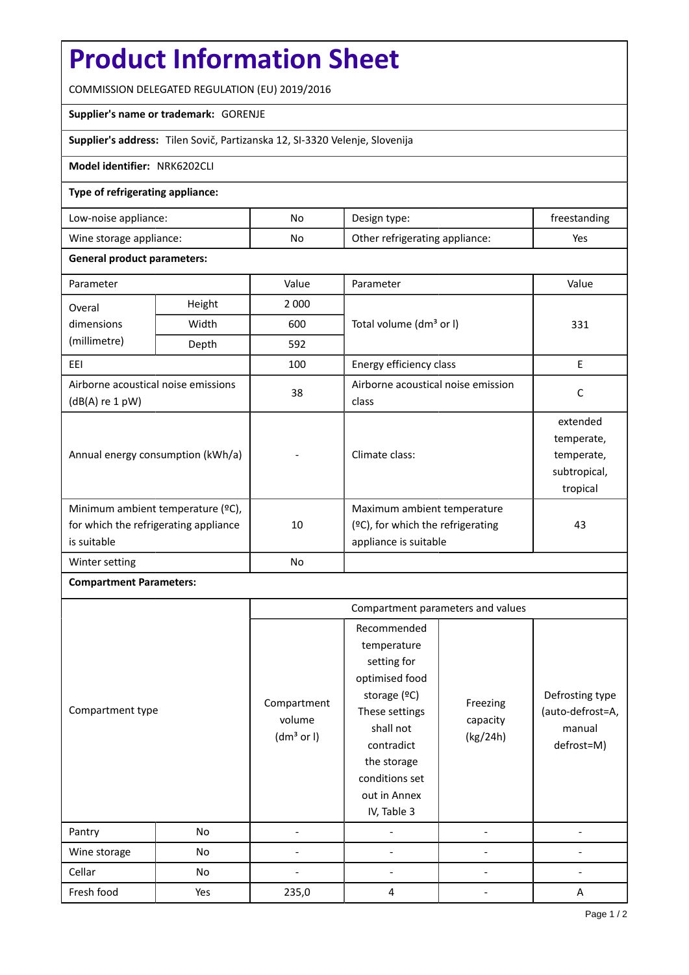# **Product Information Sheet**

COMMISSION DELEGATED REGULATION (EU) 2019/2016

## **Supplier's name or trademark:** GORENJE

**Supplier's address:** Tilen Sovič, Partizanska 12, SI-3320 Velenje, Slovenija

#### **Model identifier:** NRK6202CLI

#### **Type of refrigerating appliance:**

| Low-noise appliance:    | No | Design type:                   | treestanding |
|-------------------------|----|--------------------------------|--------------|
| Wine storage appliance: | No | Other refrigerating appliance: | Yes          |

#### **General product parameters:**

| Parameter                                                                                 |                                   | Value   | Parameter                                                                                    | Value                                                            |
|-------------------------------------------------------------------------------------------|-----------------------------------|---------|----------------------------------------------------------------------------------------------|------------------------------------------------------------------|
| Height<br>Overal                                                                          |                                   | 2 0 0 0 |                                                                                              |                                                                  |
| dimensions                                                                                | Width                             | 600     | Total volume (dm <sup>3</sup> or I)                                                          | 331                                                              |
| (millimetre)                                                                              | Depth                             | 592     |                                                                                              |                                                                  |
| EEL                                                                                       |                                   | 100     | Energy efficiency class                                                                      | E                                                                |
| Airborne acoustical noise emissions<br>$(dB(A)$ re 1 pW)                                  |                                   | 38      | Airborne acoustical noise emission<br>class                                                  | C                                                                |
|                                                                                           | Annual energy consumption (kWh/a) |         | Climate class:                                                                               | extended<br>temperate,<br>temperate,<br>subtropical,<br>tropical |
| Minimum ambient temperature (°C),<br>for which the refrigerating appliance<br>is suitable |                                   | 10      | Maximum ambient temperature<br>$(°C)$ , for which the refrigerating<br>appliance is suitable | 43                                                               |
| Winter setting                                                                            |                                   | No      |                                                                                              |                                                                  |

## **Compartment Parameters:**

|                  |     | Compartment parameters and values               |                                                                                                                                                                                          |                                  |                                                             |
|------------------|-----|-------------------------------------------------|------------------------------------------------------------------------------------------------------------------------------------------------------------------------------------------|----------------------------------|-------------------------------------------------------------|
| Compartment type |     | Compartment<br>volume<br>(dm <sup>3</sup> or I) | Recommended<br>temperature<br>setting for<br>optimised food<br>storage (ºC)<br>These settings<br>shall not<br>contradict<br>the storage<br>conditions set<br>out in Annex<br>IV, Table 3 | Freezing<br>capacity<br>(kg/24h) | Defrosting type<br>(auto-defrost=A,<br>manual<br>defrost=M) |
| Pantry           | No  |                                                 |                                                                                                                                                                                          |                                  |                                                             |
| Wine storage     | No  |                                                 |                                                                                                                                                                                          |                                  |                                                             |
| Cellar           | No  |                                                 |                                                                                                                                                                                          |                                  |                                                             |
| Fresh food       | Yes | 235,0                                           | 4                                                                                                                                                                                        |                                  | A                                                           |